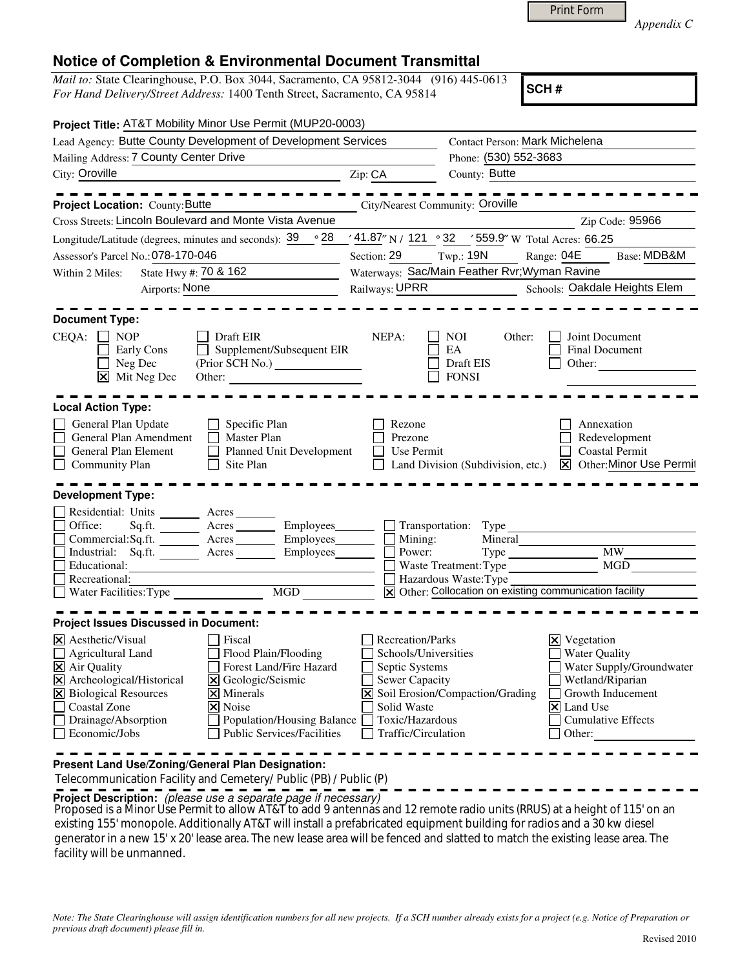|--|

*Appendix C* 

## **Notice of Completion & Environmental Document Transmittal**

*Mail to:* State Clearinghouse, P.O. Box 3044, Sacramento, CA 95812-3044 (916) 445-0613 *For Hand Delivery/Street Address:* 1400 Tenth Street, Sacramento, CA 95814

**SCH #**

|                                                                                         | Project Title: AT&T Mobility Minor Use Permit (MUP20-0003)                                                                                                               |                                                 |                                                         |                                                                                   |
|-----------------------------------------------------------------------------------------|--------------------------------------------------------------------------------------------------------------------------------------------------------------------------|-------------------------------------------------|---------------------------------------------------------|-----------------------------------------------------------------------------------|
|                                                                                         | Lead Agency: Butte County Development of Development Services                                                                                                            |                                                 | Contact Person: Mark Michelena                          |                                                                                   |
| Mailing Address: 7 County Center Drive                                                  |                                                                                                                                                                          |                                                 | Phone: (530) 552-3683                                   |                                                                                   |
| City: Oroville                                                                          | <u> 1989 - Johann Barbara, martin amerikan personal (</u>                                                                                                                | Zip: CA                                         | County: Butte                                           |                                                                                   |
|                                                                                         |                                                                                                                                                                          |                                                 |                                                         |                                                                                   |
| Project Location: County: Butte                                                         |                                                                                                                                                                          |                                                 | City/Nearest Community: Oroville                        |                                                                                   |
| Cross Streets: Lincoln Boulevard and Monte Vista Avenue                                 |                                                                                                                                                                          |                                                 |                                                         | Zip Code: 95966                                                                   |
| Longitude/Latitude (degrees, minutes and seconds): $\frac{39}{ }$ $\circ$ 28            |                                                                                                                                                                          |                                                 | $41.87$ " N / 121 ° 32 ′ 559.9" W Total Acres: 66.25    |                                                                                   |
| Assessor's Parcel No.: 078-170-046                                                      |                                                                                                                                                                          | Section: 29 Twp.: 19N                           |                                                         | Range: 04E<br>Base: MDB&M                                                         |
| State Hwy #: 70 & 162<br>Within 2 Miles:                                                |                                                                                                                                                                          | Waterways: Sac/Main Feather Rvr; Wyman Ravine   |                                                         |                                                                                   |
| Airports: None                                                                          |                                                                                                                                                                          | Railways: UPRR<br>Schools: Oakdale Heights Elem |                                                         |                                                                                   |
|                                                                                         |                                                                                                                                                                          |                                                 |                                                         |                                                                                   |
| <b>Document Type:</b>                                                                   |                                                                                                                                                                          |                                                 |                                                         |                                                                                   |
| CEQA:<br><b>NOP</b><br>Early Cons<br>Neg Dec<br>$\overline{\mathsf{x}}$ Mit Neg Dec     | Draft EIR<br>Supplement/Subsequent EIR<br>Other:<br><u> 1980 - Jan Stein Stein Stein Stein Stein Stein Stein Stein Stein Stein Stein Stein Stein Stein Stein Stein S</u> | NEPA:                                           | NOI<br>Other:<br>EA<br>Draft EIS<br><b>FONSI</b>        | Joint Document<br><b>Final Document</b><br>Other:                                 |
| <b>Local Action Type:</b>                                                               |                                                                                                                                                                          |                                                 |                                                         |                                                                                   |
| General Plan Update<br>General Plan Amendment<br>General Plan Element<br>Community Plan | Specific Plan<br>Master Plan<br>Planned Unit Development<br>Site Plan                                                                                                    | Rezone<br>Prezone<br>Use Permit                 | Land Division (Subdivision, etc.)                       | Annexation<br>Redevelopment<br><b>Coastal Permit</b><br>X Other: Minor Use Permit |
| <b>Development Type:</b>                                                                |                                                                                                                                                                          |                                                 |                                                         |                                                                                   |
|                                                                                         |                                                                                                                                                                          |                                                 |                                                         |                                                                                   |
| Residential: Units ________ Acres _______<br>Office:<br>Sq.fit.                         | Acres __________ Employees_____                                                                                                                                          |                                                 | $\Box$ Transportation: Type                             |                                                                                   |
|                                                                                         | Commercial:Sq.ft. ________ Acres ________ Employees___                                                                                                                   | Mining:                                         | Mineral                                                 |                                                                                   |
| Industrial: Sq.ft.                                                                      | Acres                                                                                                                                                                    | Power:                                          |                                                         | <b>MW</b>                                                                         |
| Educational:                                                                            |                                                                                                                                                                          |                                                 | Waste Treatment: Type                                   | MGD                                                                               |
| Recreational:                                                                           |                                                                                                                                                                          |                                                 | Hazardous Waste: Type                                   |                                                                                   |
| Water Facilities: Type                                                                  | MGD                                                                                                                                                                      |                                                 | X Other: Collocation on existing communication facility |                                                                                   |
|                                                                                         |                                                                                                                                                                          |                                                 |                                                         |                                                                                   |
| <b>Project Issues Discussed in Document:</b>                                            |                                                                                                                                                                          |                                                 |                                                         |                                                                                   |
| $\times$ Aesthetic/Visual                                                               | Fiscal                                                                                                                                                                   | Recreation/Parks                                |                                                         | $\times$ Vegetation                                                               |
| <b>Agricultural Land</b>                                                                | Flood Plain/Flooding                                                                                                                                                     | Schools/Universities                            |                                                         | <b>Water Quality</b>                                                              |
| X Air Quality                                                                           | Forest Land/Fire Hazard                                                                                                                                                  | Septic Systems                                  |                                                         | Water Supply/Groundwater                                                          |
| X Archeological/Historical                                                              | X Geologic/Seismic                                                                                                                                                       | Sewer Capacity                                  |                                                         | Wetland/Riparian                                                                  |
| <b>X</b> Biological Resources                                                           | $\boxtimes$ Minerals                                                                                                                                                     |                                                 | X Soil Erosion/Compaction/Grading                       | Growth Inducement                                                                 |
| <b>Coastal Zone</b>                                                                     | X Noise                                                                                                                                                                  | Solid Waste                                     |                                                         | X Land Use                                                                        |
| Drainage/Absorption<br>$\mathsf{L}$                                                     | Population/Housing Balance                                                                                                                                               | Toxic/Hazardous                                 |                                                         | <b>Cumulative Effects</b>                                                         |
| $\Box$ Economic/Jobs                                                                    | <b>Public Services/Facilities</b>                                                                                                                                        | Traffic/Circulation                             |                                                         | Other:                                                                            |
| Present Land Use/Zoning/General Plan Designation:                                       |                                                                                                                                                                          |                                                 |                                                         |                                                                                   |

Telecommunication Facility and Cemetery/ Public (PB) / Public (P)

**Project Description:** (please use a separate page if necessary)

 Proposed is a Minor Use Permit to allow AT&T to add 9 antennas and 12 remote radio units (RRUS) at a height of 115' on an existing 155' monopole. Additionally AT&T will install a prefabricated equipment building for radios and a 30 kw diesel generator in a new 15' x 20' lease area. The new lease area will be fenced and slatted to match the existing lease area. The facility will be unmanned.